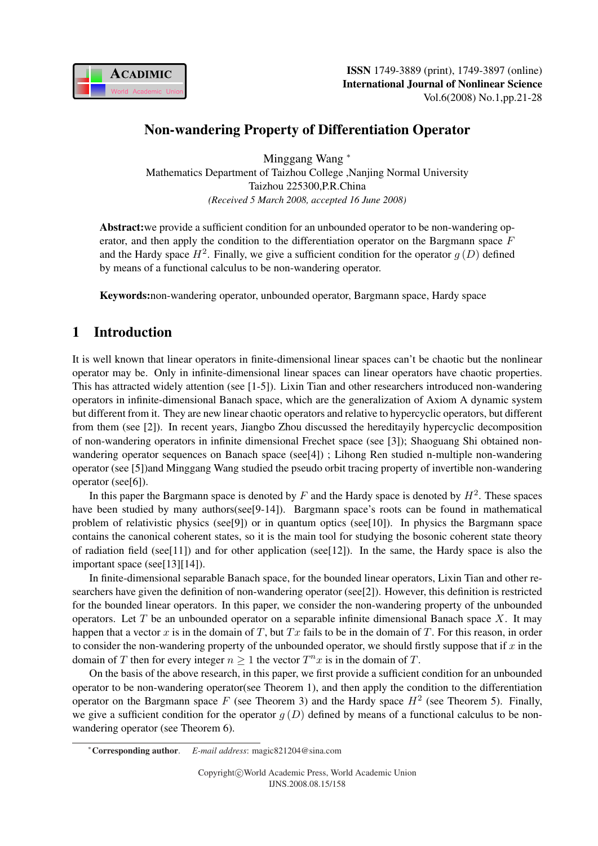

# Non-wandering Property of Differentiation Operator

Minggang Wang <sup>∗</sup> Mathematics Department of Taizhou College ,Nanjing Normal University Taizhou 225300,P.R.China *(Received 5 March 2008, accepted 16 June 2008)*

Abstract:we provide a sufficient condition for an unbounded operator to be non-wandering operator, and then apply the condition to the differentiation operator on the Bargmann space  $F$ and the Hardy space  $H^2$ . Finally, we give a sufficient condition for the operator  $g(D)$  defined by means of a functional calculus to be non-wandering operator.

Keywords:non-wandering operator, unbounded operator, Bargmann space, Hardy space

# 1 Introduction

It is well known that linear operators in finite-dimensional linear spaces can't be chaotic but the nonlinear operator may be. Only in infinite-dimensional linear spaces can linear operators have chaotic properties. This has attracted widely attention (see [1-5]). Lixin Tian and other researchers introduced non-wandering operators in infinite-dimensional Banach space, which are the generalization of Axiom A dynamic system but different from it. They are new linear chaotic operators and relative to hypercyclic operators, but different from them (see [2]). In recent years, Jiangbo Zhou discussed the hereditayily hypercyclic decomposition of non-wandering operators in infinite dimensional Frechet space (see [3]); Shaoguang Shi obtained nonwandering operator sequences on Banach space (see[4]) ; Lihong Ren studied n-multiple non-wandering operator (see [5])and Minggang Wang studied the pseudo orbit tracing property of invertible non-wandering operator (see[6]).

In this paper the Bargmann space is denoted by  $F$  and the Hardy space is denoted by  $H^2$ . These spaces have been studied by many authors(see[9-14]). Bargmann space's roots can be found in mathematical problem of relativistic physics (see[9]) or in quantum optics (see[10]). In physics the Bargmann space contains the canonical coherent states, so it is the main tool for studying the bosonic coherent state theory of radiation field (see[11]) and for other application (see[12]). In the same, the Hardy space is also the important space (see[13][14]).

In finite-dimensional separable Banach space, for the bounded linear operators, Lixin Tian and other researchers have given the definition of non-wandering operator (see[2]). However, this definition is restricted for the bounded linear operators. In this paper, we consider the non-wandering property of the unbounded operators. Let  $T$  be an unbounded operator on a separable infinite dimensional Banach space  $X$ . It may happen that a vector x is in the domain of T, but  $Tx$  fails to be in the domain of T. For this reason, in order to consider the non-wandering property of the unbounded operator, we should firstly suppose that if  $x$  in the domain of T then for every integer  $n \geq 1$  the vector  $T^n x$  is in the domain of T.

On the basis of the above research, in this paper, we first provide a sufficient condition for an unbounded operator to be non-wandering operator(see Theorem 1), and then apply the condition to the differentiation operator on the Bargmann space F (see Theorem 3) and the Hardy space  $H^2$  (see Theorem 5). Finally, we give a sufficient condition for the operator  $g(D)$  defined by means of a functional calculus to be nonwandering operator (see Theorem 6).

<sup>∗</sup>Corresponding author. *E-mail address*: magic821204@sina.com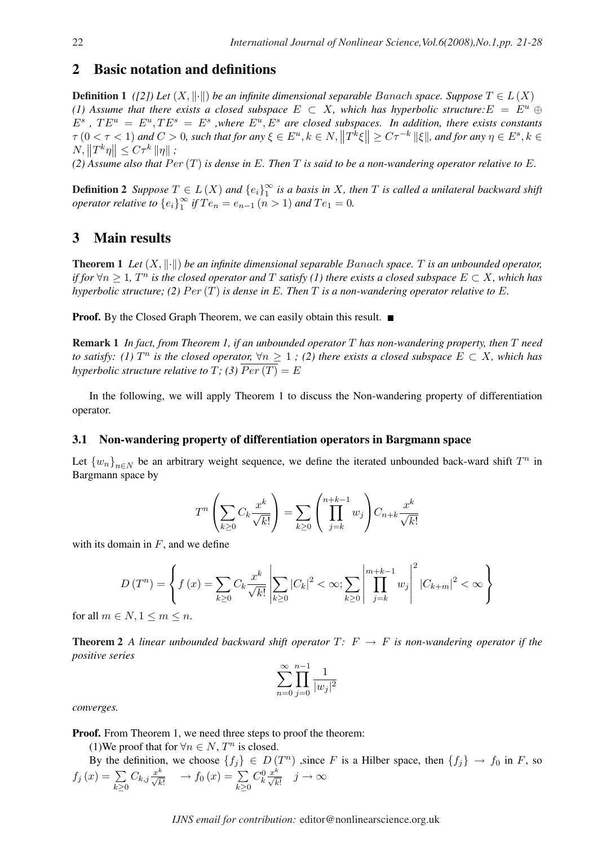## 2 Basic notation and definitions

**Definition 1** *([2])* Let  $(X, \|\cdot\|)$  be an infinite dimensional separable Banach space. Suppose  $T \in L(X)$ *(1) Assume that there exists a closed subspace*  $E \subset X$ , which has hyperbolic structure:  $E = E^u \oplus E$  $E^s$ ,  $TE^u = E^u$ ,  $TE^s = E^s$ , where  $E^u$ ,  $E^s$  are closed subspaces. In addition, there exists constants  $\tau$  (0 <  $\tau$  < 1) and  $C > 0$ , such that for any  $\xi \in E^u$ ,  $k \in N$ ,  $\left\|T^k \xi\right\| \geq C\tau^{-k}$   $\|\xi\|$ , and for any  $\eta \in E^s$ ,  $k \in \mathbb{Z}$  $N, \|T^k \eta\| \leq C\tau^k \|\eta\|$ ;

 $(2)$  Assume also that  $Per(T)$  *is dense in* E. Then T *is said to be a non-wandering operator relative to* E.

**Definition 2** *Suppose*  $T \in L(X)$  *and*  ${e_i}_1^{\infty}$  $\frac{\infty}{1}$  is a basis in X, then T is called a unilateral backward shift *operator relative to*  ${e_i}_1^{\infty}$  $\int_{1}^{\infty}$  *if*  $Te_n = e_{n-1}$   $(n > 1)$  *and*  $Te_1 = 0$ *.* 

# 3 Main results

**Theorem 1** Let  $(X, \|\cdot\|)$  be an infinite dimensional separable Banach space. T is an unbounded operator, *if for*  $\forall n \geq 1$ ,  $T^n$  *is the closed operator and*  $T$  *satisfy* (1) there exists a closed subspace  $E \subset X$ *, which has hyperbolic structure; (2)*  $Per(T)$  *is dense in* E. Then T *is a non-wandering operator relative to* E.

**Proof.** By the Closed Graph Theorem, we can easily obtain this result. ■

Remark 1 *In fact, from Theorem 1, if an unbounded operator* T *has non-wandering property, then* T *need to satisfy:* (1)  $T^n$  is the closed operator,  $\forall n \geq 1$  ; (2) there exists a closed subspace  $E \subset X$ , which has *hyperbolic structure relative to*  $T$ *; (3)*  $\overline{Per(T)} = E$ 

In the following, we will apply Theorem 1 to discuss the Non-wandering property of differentiation operator.

#### 3.1 Non-wandering property of differentiation operators in Bargmann space

Let  ${w_n}_{n \in N}$  be an arbitrary weight sequence, we define the iterated unbounded back-ward shift  $T^n$  in Bargmann space by

$$
T^n \left( \sum_{k \ge 0} C_k \frac{x^k}{\sqrt{k!}} \right) = \sum_{k \ge 0} \left( \prod_{j=k}^{n+k-1} w_j \right) C_{n+k} \frac{x^k}{\sqrt{k!}}
$$

with its domain in  $F$ , and we define

$$
D(T^{n}) = \left\{ f(x) = \sum_{k \geq 0} C_{k} \frac{x^{k}}{\sqrt{k!}} \left| \sum_{k \geq 0} |C_{k}|^{2} < \infty; \sum_{k \geq 0} \left| \prod_{j=k}^{m+k-1} w_{j} \right|^{2} |C_{k+m}|^{2} < \infty \right\}
$$

for all  $m \in N, 1 \leq m \leq n$ .

**Theorem 2** A linear unbounded backward shift operator  $T: F \rightarrow F$  is non-wandering operator if the *positive series*

$$
\sum_{n=0}^{\infty} \prod_{j=0}^{n-1} \frac{1}{|w_j|^2}
$$

*converges.*

Proof. From Theorem 1, we need three steps to proof the theorem:

(1) We proof that for  $\forall n \in N$ ,  $T^n$  is closed.

By the definition, we choose  $\{f_j\} \in D(T^n)$  , since F is a Hilber space, then  $\{f_j\} \to f_0$  in F, so  $f_j(x) = \sum C_{k,j} \frac{x^k}{\sqrt{1-x}} \to f_0(x) = \sum C_{k,j}^0 \frac{x^k}{\sqrt{1-x}} \quad j \to \infty$  $k\geq 0$  $C_{k,j} \frac{x^k}{\sqrt{k!}} \longrightarrow f_0(x) = \sum_{k \geq 0}$  $C_k^0 \frac{x^k}{\sqrt{k!}} \quad j \to \infty$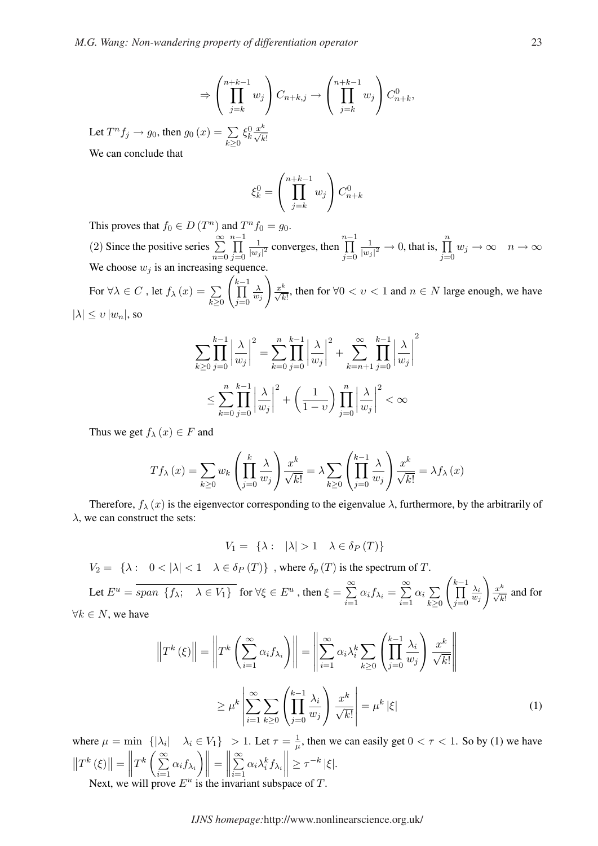$$
\Rightarrow \left(\prod_{j=k}^{n+k-1} w_j\right) C_{n+k,j} \to \left(\prod_{j=k}^{n+k-1} w_j\right) C_{n+k}^0,
$$

Let  $T^n f_j \to g_0$ , then  $g_0(x) = \sum$  $k\succeq0$  $\xi_k^0 \frac{x^k}{\sqrt{k!}}$ 

We can conclude that

$$
\xi_k^0 = \left(\prod_{j=k}^{n+k-1} w_j\right) C_{n+k}^0
$$

 $\frac{n-1}{\sqrt{2}}$  $j=0$ 

1

 $\frac{1}{|w_j|^2} \to 0$ , that is,  $\prod_{i=1}^n$ 

 $j=0$ 

 $w_j \to \infty$   $n \to \infty$ 

This proves that  $f_0 \in D$  (*T* <sup>n</sup>) and  $T^n f_0 = g_0$ . (2) Since the positive series  $\sum_{n=1}^{\infty}$  $n-1$ 1  $\frac{1}{|w_j|^2}$  converges, then

 $n=0$  $j=0$ We choose  $w_j$  is an increasing sequence.

For  $\forall \lambda \in C$ , let  $f_{\lambda}(x) = \sum$  $k\geq 0$  $\frac{k-1}{k-1}$  $j=0$ λ  $\overline{w_j}$  $\frac{x^k}{\sqrt{k!}}$ , then for ∀0 < *v* < 1 and *n* ∈ *N* large enough, we have  $|\lambda| \leq v |w_n|$ , so

$$
\sum_{k\geq 0} \prod_{j=0}^{k-1} \left| \frac{\lambda}{w_j} \right|^2 = \sum_{k=0}^n \prod_{j=0}^{k-1} \left| \frac{\lambda}{w_j} \right|^2 + \sum_{k=n+1}^\infty \prod_{j=0}^{k-1} \left| \frac{\lambda}{w_j} \right|^2
$$
  

$$
\leq \sum_{k=0}^n \prod_{j=0}^{k-1} \left| \frac{\lambda}{w_j} \right|^2 + \left( \frac{1}{1-v} \right) \prod_{j=0}^n \left| \frac{\lambda}{w_j} \right|^2 < \infty
$$

Thus we get  $f_{\lambda}(x) \in F$  and

$$
Tf_{\lambda}(x) = \sum_{k \ge 0} w_k \left( \prod_{j=0}^k \frac{\lambda}{w_j} \right) \frac{x^k}{\sqrt{k!}} = \lambda \sum_{k \ge 0} \left( \prod_{j=0}^{k-1} \frac{\lambda}{w_j} \right) \frac{x^k}{\sqrt{k!}} = \lambda f_{\lambda}(x)
$$

Therefore,  $f_{\lambda}(x)$  is the eigenvector corresponding to the eigenvalue  $\lambda$ , furthermore, by the arbitrarily of  $\lambda$ , we can construct the sets:

 $V_1 = {\lambda : |\lambda| > 1 \quad \lambda \in \delta_P(T)}$ 

 $V_2 = \{\lambda : 0 < |\lambda| < 1 \quad \lambda \in \delta_P(T)\}\$ , where  $\delta_p(T)$  is the spectrum of T.

Let  $E^u = span \{f_{\lambda}; \quad \lambda \in V_1\}$  for  $\forall \xi \in E^u$ , then  $\xi =$  $\approx$  $\sum_{i=1} \alpha_i f_{\lambda_i} =$  $\approx$  $i=1$  $\alpha_i$  $\overline{a}$  $k\geq 0$  $\overline{\phantom{a}}$  $k-1$  $j=0$  $\lambda_i$  $\overline{w_j}$ !<br>}  $\frac{x^k}{\sqrt{k!}}$  and for  $\forall k \in N$ , we have

$$
\left\|T^{k}\left(\xi\right)\right\| = \left\|T^{k}\left(\sum_{i=1}^{\infty} \alpha_{i} f_{\lambda_{i}}\right)\right\| = \left\|\sum_{i=1}^{\infty} \alpha_{i} \lambda_{i}^{k}\sum_{k\geq 0} \left(\prod_{j=0}^{k-1} \frac{\lambda_{i}}{w_{j}}\right) \frac{x^{k}}{\sqrt{k!}}\right\|
$$

$$
\geq \mu^{k}\left\|\sum_{i=1}^{\infty} \sum_{k\geq 0} \left(\prod_{j=0}^{k-1} \frac{\lambda_{i}}{w_{j}}\right) \frac{x^{k}}{\sqrt{k!}}\right\| = \mu^{k}\left|\xi\right|
$$
(1)

where  $\mu = \min \{ |\lambda_i| \mid \lambda_i \in V_1 \} > 1$ . Let  $\tau = \frac{1}{\mu}$  $\min \{|\lambda_i| \quad \lambda_i \in V_1\} > 1$ . Let  $\tau = \frac{1}{\mu}$ , then we can easily get  $0 < \tau < 1$ . So by (1) we have  $||T^k(\xi)||$  $\Vert = \Vert T^k \left( \sum_{i=1}^{\infty} \right)$  $\sum_{i=1} \alpha_i f_{\lambda_i}$  $\Big\| =$ ° ° °  $\approx$  $i=1$  $\alpha_i \lambda_i^k f_{\lambda_i}$  $\Big\| \geq \tau^{-k} |\xi|.$ 

Next, we will prove  $E^u$  is the invariant subspace of T.

*IJNS homepage:*http://www.nonlinearscience.org.uk/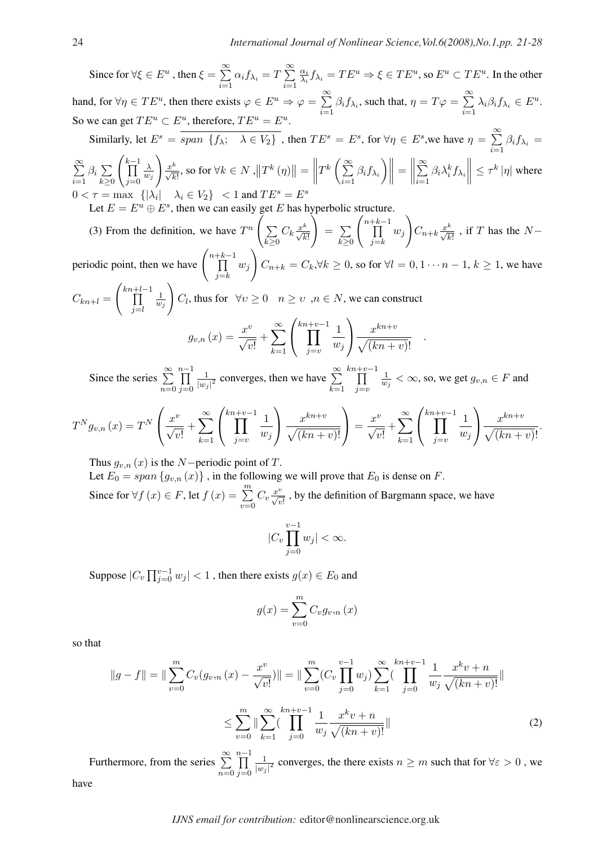.

Since for  $\forall \xi \in E^u$ , then  $\xi =$  $\approx$  $\sum_{i=1} \alpha_i f_{\lambda_i} = T$  $\approx$  $i=1$  $\alpha_i$  $\frac{\alpha_i}{\lambda_i} f_{\lambda_i} = TE^u \Rightarrow \xi \in TE^u$ , so  $E^u \subset TE^u$ . In the other hand, for  $\forall \eta \in TE^u$ , then there exists  $\varphi \in E^u \Rightarrow \varphi = \sum_{n=1}^{\infty}$  $\sum_{i=1} \beta_i f_{\lambda_i}$ , such that,  $\eta = T\varphi =$  $\approx$  $\sum_{i=1} \lambda_i \beta_i f_{\lambda_i} \in E^u.$ So we can get  $TE^u \subset E^u$ , therefore,  $TE^u = E^u$ . Similarly, let  $E^s = span \{f_{\lambda}; \lambda \in V_2\}$ , then  $TE^s = E^s$ , for  $\forall \eta \in E^s$ , we have  $\eta =$  $\approx$  $\sum_{i=1} \beta_i f_{\lambda_i} =$  $\approx$  $i=1$  $\beta_i$  $\overline{ }$  $k\geq 0$ **1**  $\frac{k-1}{k-1}$  $j=0$ λ  $w_j$  $\frac{x^k}{\sqrt{k!}}$ , so for  $\forall k \in N$  ,  $||T^k(\eta)||$  $\Vert =$  $\left\|T^k\left(\sum\limits_{i=1}^\infty\right.\right.$  $\sum_{i=1} \beta_i f_{\lambda_i}$  $\Big\} \Big\| =$  $\begin{array}{c} \parallel \\ \parallel \end{array}$  $\approx$  $i=1$  $\beta_i \lambda_i^k f_{\lambda_i}$  $\|\leq \tau^k |\eta|$  where

 $0 < \tau = \max \{ |\lambda_i| \mid \lambda_i \in V_2 \}$   $1$  and  $TE^s = E^s$ 

Let  $E = E^u \oplus E^s$ , then we can easily get E has hyperbolic structure.

(3) From the definition, we have  $T^n$   $\Big(\sum_{n=1}^{\infty}$  $k\geq 0$  $C_k \frac{x^k}{\sqrt{k!}}$  =  $\overline{ }$  $k\geq 0$  $n+k-1$  $j=k$  $w_j$ !<br>}  $C_{n+k} \frac{x^k}{\sqrt{k!}}$ , if T has the Nperiodic point, then we have  $\left( \right)$  $\frac{n+k-1}{L}$  $j=k$  $w_j$ !<br>}  $C_{n+k} = C_k, \forall k \geq 0$ , so for  $\forall l = 0, 1 \cdots n-1, k \geq 1$ , we have Ã !

 $C_{kn+l} = \left(\prod^{kn+l-1} \right)$  $j=l$ 1  $\frac{1}{w_j}$   $C_l$ , thus for  $\forall v \geq 0$   $n \geq v$  ,  $n \in N$ , we can construct v  $\frac{\infty}{\sim}$  $\int_0^{kn+v-1} 1$  $\mathbf{r}$  $\overline{x}$  $kn+v$ 

$$
g_{v,n}(x) = \frac{x^v}{\sqrt{v!}} + \sum_{k=1}^{\infty} \left( \prod_{j=v}^{k n + v - 1} \frac{1}{w_j} \right) \frac{x^{k n + v}}{\sqrt{(k n + v)!}}
$$

Since the series  $\sum_{n=1}^{\infty}$  $n=0$  $\frac{n-1}{\Gamma}$  $j=0$ 1  $\frac{1}{|w_j|^2}$  converges, then we have  $\sum_{k=1}^{\infty}$  $k=1$  $\frac{kn+v-1}{n}$  $j=v$ 1  $\frac{1}{w_j} < \infty$ , so, we get  $g_{v,n} \in F$  and

$$
T^{N}g_{v,n}(x) = T^{N}\left(\frac{x^{v}}{\sqrt{v!}} + \sum_{k=1}^{\infty} \left(\prod_{j=v}^{kn+v-1} \frac{1}{w_{j}}\right) \frac{x^{kn+v}}{\sqrt{(kn+v)!}}\right) = \frac{x^{v}}{\sqrt{v!}} + \sum_{k=1}^{\infty} \left(\prod_{j=v}^{kn+v-1} \frac{1}{w_{j}}\right) \frac{x^{kn+v}}{\sqrt{(kn+v)!}}.
$$

Thus  $g_{v,n}(x)$  is the N−periodic point of T.

Let  $E_0 = span\{g_{v,n}(x)\}\$ , in the following we will prove that  $E_0$  is dense on F.

Since for  $\forall f(x) \in F$ , let  $f(x) = \sum_{n=1}^{m}$  $v=0$  $C_v \frac{x^v}{\sqrt{v!}}$ , by the definition of Bargmann space, we have

$$
|C_v \prod_{j=0}^{v-1} w_j| < \infty.
$$

Suppose  $|C_v \prod_{i=0}^{v-1}$  $\left|\sum_{j=0}^{v-1} w_j\right| < 1$  , then there exists  $g(x) \in E_0$  and

$$
g(x) = \sum_{v=0}^{m} C_v g_{v,n}(x)
$$

so that

$$
||g - f|| = ||\sum_{v=0}^{m} C_v(g_{v,n}(x) - \frac{x^v}{\sqrt{v!}})|| = ||\sum_{v=0}^{m} (C_v \prod_{j=0}^{v-1} w_j) \sum_{k=1}^{\infty} (\prod_{j=0}^{kn+v-1} \frac{1}{w_j} \frac{x^k v + n}{\sqrt{(kn+v)!}}||
$$
  

$$
\leq \sum_{v=0}^{m} ||\sum_{k=1}^{\infty} (\prod_{j=0}^{kn+v-1} \frac{1}{w_j} \frac{x^k v + n}{\sqrt{(kn+v)!}}||
$$
 (2)

Furthermore, from the series  $\sum_{n=1}^{\infty}$  $n=0$  $n-1$  $j=0$ 1  $\frac{1}{|w_j|^2}$  converges, the there exists  $n \geq m$  such that for  $\forall \varepsilon > 0$ , we have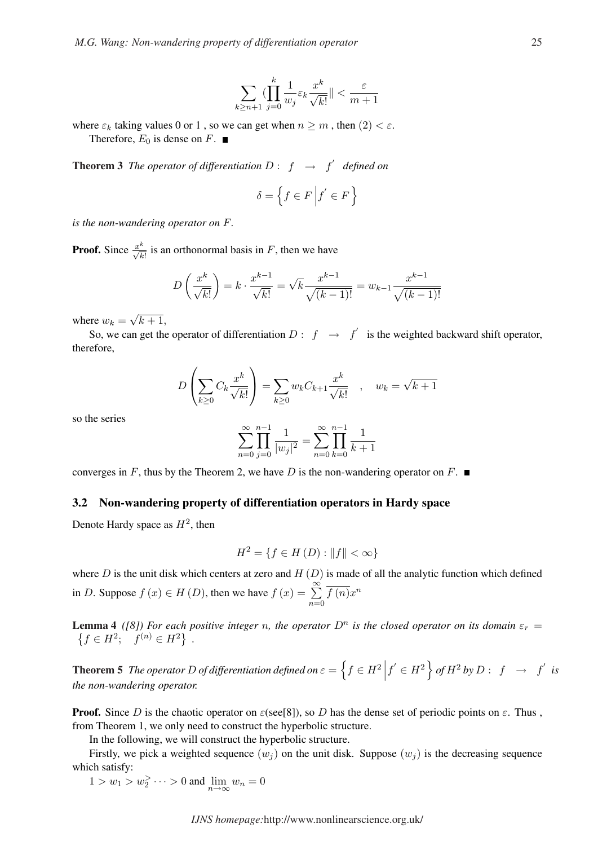$$
\sum_{k\geq n+1}(\prod_{j=0}^{k}\frac{1}{w_j}\varepsilon_k\frac{x^k}{\sqrt{k!}}\|<\frac{\varepsilon}{m+1}
$$

where  $\varepsilon_k$  taking values 0 or 1, so we can get when  $n \geq m$ , then  $(2) < \varepsilon$ . Therefore,  $E_0$  is dense on F.

**Theorem 3** The operator of differentiation  $D: f \rightarrow f'$  defined on

$$
\delta = \left\{ f \in F \left| f' \in F \right. \right\}
$$

*is the non-wandering operator on* F*.*

**Proof.** Since  $\frac{x^k}{\sqrt{k!}}$  is an orthonormal basis in F, then we have

$$
D\left(\frac{x^k}{\sqrt{k!}}\right) = k \cdot \frac{x^{k-1}}{\sqrt{k!}} = \sqrt{k} \frac{x^{k-1}}{\sqrt{(k-1)!}} = w_{k-1} \frac{x^{k-1}}{\sqrt{(k-1)!}}
$$

where  $w_k =$ √  $k+1,$ 

So, we can get the operator of differentiation  $D: f \rightarrow f'$  is the weighted backward shift operator, therefore,

$$
D\left(\sum_{k\geq 0} C_k \frac{x^k}{\sqrt{k!}}\right) = \sum_{k\geq 0} w_k C_{k+1} \frac{x^k}{\sqrt{k!}}, \quad w_k = \sqrt{k+1}
$$

so the series

$$
\sum_{n=0}^{\infty} \prod_{j=0}^{n-1} \frac{1}{|w_j|^2} = \sum_{n=0}^{\infty} \prod_{k=0}^{n-1} \frac{1}{k+1}
$$

converges in F, thus by the Theorem 2, we have D is the non-wandering operator on F.  $\blacksquare$ 

## 3.2 Non-wandering property of differentiation operators in Hardy space

Denote Hardy space as  $H^2$ , then

$$
H^{2} = \{ f \in H (D) : ||f|| < \infty \}
$$

where D is the unit disk which centers at zero and  $H(D)$  is made of all the analytic function which defined in D. Suppose  $f(x) \in H(D)$ , then we have  $f(x) = \sum_{n=0}^{\infty}$  $n=0$  $\overline{f(n)}x^n$ 

**Lemma 4** *([8]) For each positive integer n, the operator*  $D^n$  *is the closed operator on its domain*  $\varepsilon_r =$  $f \in H^2$ ;  $f^{(n)} \in H^2$  .

**Theorem 5** *The operator* D *of differentiation defined on*  $\varepsilon$  = n  $f \in H^2$  $\left|f\right| \in H^2$ o  $of H<sup>2</sup> by D: f \rightarrow f'$  is *the non-wandering operator.*

**Proof.** Since D is the chaotic operator on  $\varepsilon$ (see[8]), so D has the dense set of periodic points on  $\varepsilon$ . Thus, from Theorem 1, we only need to construct the hyperbolic structure.

In the following, we will construct the hyperbolic structure.

Firstly, we pick a weighted sequence  $(w_i)$  on the unit disk. Suppose  $(w_i)$  is the decreasing sequence which satisfy:

 $1 > w_1 > w_2^> \dots > 0$  and  $\lim_{n \to \infty} w_n = 0$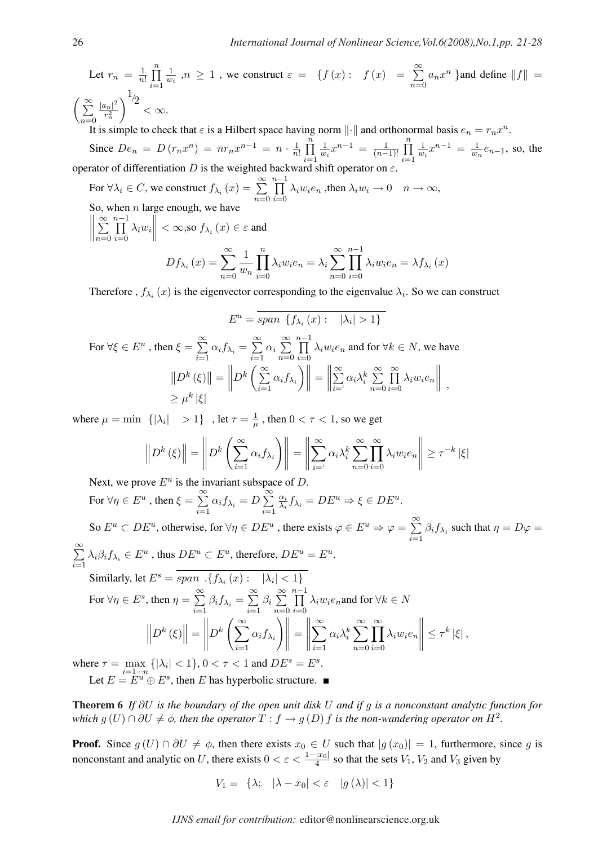Let  $r_n = \frac{1}{n}$  $\overline{n}$ !  $\frac{n}{\Box}$  $i=1$ 1  $\frac{1}{w_i}$ ,  $n \geq 1$ , we construct  $\varepsilon = \{f(x): f(x) =$  $\approx$  $n=0$  $a_n x^n$  } and define  $||f|| =$  $\int \frac{\infty}{2} |a_n|^2$  $r_n^2$  $\sqrt{\frac{1}{2}}$  $< \infty$ .

 $n=0$  <sup>n</sup> /<br>It is simple to check that  $\varepsilon$  is a Hilbert space having norm  $\|\cdot\|$  and orthonormal basis  $e_n = r_n x^n$ .  $\frac{n}{\Box}$  $\frac{n}{\Box}$ 

Since  $De_n = D(r_n x^n) = nr_n x^{n-1} = n \cdot \frac{1}{n}$  $\overline{n}$ !  $i=1$ 1  $\frac{1}{w_i}x^{n-1} = \frac{1}{(n-1)}$  $(n-1)!$  $i=1$ 1  $\frac{1}{w_i}x^{n-1} = \frac{1}{w_i}$  $\frac{1}{w_n}e_{n-1}$ , so, the operator of differentiation D is the weighted backward shift operator

For  $\forall \lambda_i \in C$ , we construct  $f_{\lambda_i}(x) = \sum_{i=1}^{\infty}$  $n=0$  $\frac{n-1}{\Box}$  $i=0$  $\lambda_i w_i e_n$ , then  $\lambda_i w_i \to 0$   $n \to \infty$ , So, when *n* large enough, we have ° ° °  $\approx$  $n-1$  $\lambda_i w_i$  $\left\| < \infty$ ,so  $f_{\lambda_i}(x) \in \varepsilon$  and

$$
Df_{\lambda_i}(x) = \sum_{n=0}^{\infty} \frac{1}{w_n} \prod_{i=0}^{n} \lambda_i w_i e_n = \lambda_i \sum_{n=0}^{\infty} \prod_{i=0}^{n-1} \lambda_i w_i e_n = \lambda f_{\lambda_i}(x)
$$

Therefore,  $f_{\lambda_i}(x)$  is the eigenvector corresponding to the eigenvalue  $\lambda_i$ . So we can construct

$$
E^{u} = \overline{span} \{ f_{\lambda_{i}}(x) : \quad |\lambda_{i}| > 1 \}
$$
  
For  $\forall \xi \in E^{u}$ , then  $\xi = \sum_{i=1}^{\infty} \alpha_{i} f_{\lambda_{i}} = \sum_{i=1}^{\infty} \alpha_{i} \sum_{n=0}^{\infty} \prod_{i=0}^{n-1} \lambda_{i} w_{i} e_{n}$  and for  $\forall k \in N$ , we have  

$$
||D^{k}(\xi)|| = ||D^{k} \left( \sum_{i=1}^{\infty} \alpha_{i} f_{\lambda_{i}} \right) || = ||\sum_{i=1}^{\infty} \alpha_{i} \lambda_{i}^{k} \sum_{n=0}^{\infty} \prod_{i=0}^{\infty} \lambda_{i} w_{i} e_{n} ||
$$

$$
\geq \mu^{k} |\xi|
$$

where  $\mu = \min \{|\lambda_i| > 1\}$ , let  $\tau = \frac{1}{\mu}$  $\frac{1}{\mu}$  , then  $0 < \tau < 1$ , so we get

$$
\left\| D^{k}(\xi) \right\| = \left\| D^{k} \left( \sum_{i=1}^{\infty} \alpha_{i} f_{\lambda_{i}} \right) \right\| = \left\| \sum_{i=1}^{\infty} \alpha_{i} \lambda_{i}^{k} \sum_{n=0}^{\infty} \prod_{i=0}^{\infty} \lambda_{i} w_{i} e_{n} \right\| \geq \tau^{-k} |\xi|
$$

Next, we prove  $E^u$  is the invariant subspace of D.

For  $\forall \eta \in E^u$ , then  $\xi =$  $\approx$  $\sum_{i=1} \alpha_i f_{\lambda_i} = D$  $\approx$  $i=1$  $\alpha_i$  $\frac{\alpha_i}{\lambda_i} f_{\lambda_i} = DE^u \Rightarrow \xi \in DE^u.$ 

So  $E^u \subset DE^u$ , otherwise, for  $\forall \eta \in DE^u$ , there exists  $\varphi \in E^u \Rightarrow \varphi = \sum_{n=1}^{\infty}$  $\sum_{i=1} \beta_i f_{\lambda_i}$  such that  $\eta = D\varphi =$  $\approx$  $\sum_{i=1} \lambda_i \beta_i f_{\lambda_i} \in E^u$ , thus  $DE^u \subset E^u$ , therefore,  $DE^u = E^u$ .

$$
\sum_{i=1}^{\lambda}
$$

Similarly, let 
$$
E^s = \overline{span \cdot \{f_{\lambda_i}(x) : |\lambda_i| < 1\}}
$$
  
\nFor  $\forall \eta \in E^s$ , then  $\eta = \sum_{i=1}^{\infty} \beta_i f_{\lambda_i} = \sum_{i=1}^{\infty} \beta_i \sum_{n=0}^{\infty} \prod_{i=0}^{n-1} \lambda_i w_i e_n$  and for  $\forall k \in N$   
\n
$$
\left\| D^k(\xi) \right\| = \left\| D^k \left( \sum_{i=1}^{\infty} \alpha_i f_{\lambda_i} \right) \right\| = \left\| \sum_{i=1}^{\infty} \alpha_i \lambda_i^k \sum_{n=0}^{\infty} \prod_{i=0}^{\infty} \lambda_i w_i e_n \right\| \le \tau^k |\xi|,
$$

where  $\tau = \max_{i=1 \cdots n} \{ |\lambda_i| < 1 \}, 0 < \tau < 1$  and  $DE^s = E^s$ .

Let  $E = E^u \oplus E^s$ , then E has hyperbolic structure.

Theorem 6 *If* ∂U *is the boundary of the open unit disk* U *and if* g *is a nonconstant analytic function for which*  $g(U) \cap \partial U \neq \emptyset$ , then the operator  $T : f \to g(D)$  f is the non-wandering operator on  $H^2$ .

**Proof.** Since  $g(U) \cap \partial U \neq \phi$ , then there exists  $x_0 \in U$  such that  $|g(x_0)| = 1$ , furthermore, since g is nonconstant and analytic on U, there exists  $0 < \varepsilon < \frac{1-|x_0|}{4}$  so that the sets  $V_1$ ,  $V_2$  and  $V_3$  given by

$$
V_1 = \{\lambda; \quad |\lambda - x_0| < \varepsilon \quad |g(\lambda)| < 1\}
$$

 $n=0$ 

 $i=0$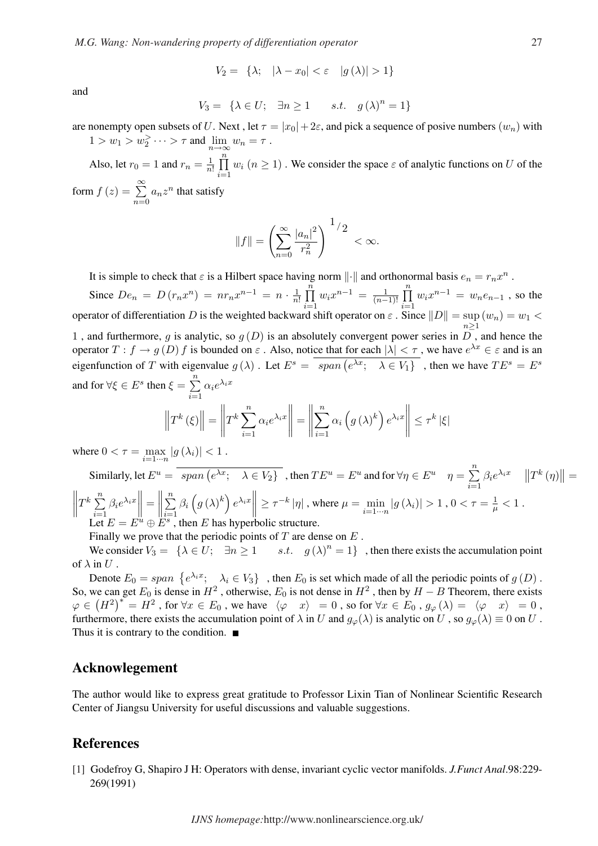$$
V_2 = \{\lambda; \quad |\lambda - x_0| < \varepsilon \quad |g(\lambda)| > 1\}
$$

and

$$
V_3 = \{ \lambda \in U; \quad \exists n \ge 1 \qquad s.t. \quad g(\lambda)^n = 1 \}
$$

are nonempty open subsets of U. Next, let  $\tau = |x_0| + 2\varepsilon$ , and pick a sequence of posive numbers  $(w_n)$  with  $1 > w_1 > w_2^> \cdots > \tau$  and  $\lim_{n \to \infty} w_n = \tau$ .

Also, let  $r_0 = 1$  and  $r_n = \frac{1}{n}$  $\overline{n}$ !  $\frac{n}{\Box}$  $i=1$  $w_i$   $(n \ge 1)$ . We consider the space  $\varepsilon$  of analytic functions on U of the form  $f(z) = \sum_{n=0}^{\infty}$  $n=0$  $a_n z^n$  that satisfy

$$
||f|| = \left(\sum_{n=0}^{\infty} \frac{|a_n|^2}{r_n^2}\right)^{1/2} < \infty.
$$

It is simple to check that  $\varepsilon$  is a Hilbert space having norm  $\|\cdot\|$  and orthonormal basis  $e_n = r_n x^n$ .

Since  $De_n = D(r_n x^n) = nr_n x^{n-1} = n \cdot \frac{1}{n}$  $\overline{n}$ !  $\frac{n}{\Box}$  $i=1$  $w_i x^{n-1} = \frac{1}{(n-1)}$  $(n-1)!$  $\frac{n}{\Box}$  $i=1$  $w_i x^{n-1} = w_n e_{n-1}$ , so the operator of differentiation D is the weighted backward shift operator on  $\varepsilon$ . Since  $||D|| = \sup$  $\sup_{n\geq 1} (w_n) = w_1 <$ 1, and furthermore, g is analytic, so  $g(D)$  is an absolutely convergent power series in  $\overline{D}$ , and hence the operator  $T: f \to g(D)$  f is bounded on  $\varepsilon$ . Also, notice that for each  $|\lambda| < \tau$ , we have  $e^{\lambda x} \in \varepsilon$  and is an eigenfunction of T with eigenvalue  $g(\lambda)$ . Let  $E^s = \frac{span(e^{\lambda x}; \lambda \in V_1)}{span(e^{\lambda x}; \lambda \in V_1)}$ , then we have  $TE^s = E^s$ and for  $\forall \xi \in E^s$  then  $\xi =$  $\frac{n}{2}$  $i=1$  $\alpha_i e^{\lambda_i x}$ ° ° °  $\left| {}\right|$ °  $\frac{1}{2}$ °  $\frac{1}{2}$  $\frac{n}{\sqrt{2}}$  $\overline{a}$ ´ °  $\left| \right|$ |ξ|

$$
\left\|T^{k}\left(\xi\right)\right\| = \left\|T^{k}\sum_{i=1}^{n}\alpha_{i}e^{\lambda_{i}x}\right\| = \left\|\sum_{i=1}^{n}\alpha_{i}\left(g\left(\lambda\right)^{k}\right)e^{\lambda_{i}x}\right\| \leq \tau^{k} \left\|\xi\right\|
$$

where  $0 < \tau = \max_{i=1 \cdots n} |g(\lambda_i)| < 1$ .

Similarly, let  $E^u = \overline{span(e^{\lambda x}; \quad \lambda \in V_2\}}$ , then  $TE^u = E^u$  and for  $\forall \eta \in E^u \quad \eta = \sum_{n=1}^{\infty}$  $i=1$  $\beta_i e^{\lambda_i x}$  ||T<sup>k</sup> (η)  $\parallel$  =  $\left\| \begin{array}{cc} n & 0 \\ n & 0 \end{array} \right\}$  $\left\|T^k\sum_{i=1}^n\right\|$  $i=1$  $\left\| \beta_i e^{\lambda_i x} \right\| = \left\| \sum_{i=1}^n \right\|$  $\beta_i\left(g\left(\lambda\right)^k\right)e^{\lambda_i x}\Big\| \geq \tau^{-k}\left|\eta\right|$  , where  $\mu=\min_{i=1\cdots n}\left|g\left(\lambda_i\right)\right|>1$  ,  $0<\tau=\frac{1}{\mu}<1$  . Let  $E = E^u \oplus E^s$ , then E has hyperbolic structure.

Finally we prove that the periodic points of  $T$  are dense on  $E$ .

We consider  $V_3 = \{\lambda \in U; \exists n \geq 1$ s.t.  $g(\lambda)^n = 1$ , then there exists the accumulation point of  $\lambda$  in  $U$ .

Denote  $E_0 = span \{e^{\lambda_i x}; \quad \lambda_i \in V_3\}$ , then  $E_0$  is set which made of all the periodic points of  $g(D)$ . So, we can get  $E_0$  is dense in  $H^2$ , otherwise,  $E_0$  is not dense in  $H^2$ , then by  $H - B$  Theorem, there exists So, we can get  $E_0$  is dense in  $H^2$ , otherwise,  $E_0$  is not dense in  $H^2$ , then by  $H - B$  Theorem, there exists  $\varphi \in (H^2)^* = H^2$ , for  $\forall x \in E_0$ , we have  $\langle \varphi | x \rangle = 0$ , so for  $\forall x \in E_0$ ,  $g_{\varphi}(\lambda) = \langle \varphi | x \rangle = 0$ , furthermore, there exists the accumulation point of  $\lambda$  in U and  $g_{\varphi}(\lambda)$  is analytic on U, so  $g_{\varphi}(\lambda) \equiv 0$  on U. Thus it is contrary to the condition.  $\blacksquare$ 

### Acknowlegement

The author would like to express great gratitude to Professor Lixin Tian of Nonlinear Scientific Research Center of Jiangsu University for useful discussions and valuable suggestions.

### References

[1] Godefroy G, Shapiro J H: Operators with dense, invariant cyclic vector manifolds. *J.Funct Anal*.98:229- 269(1991)